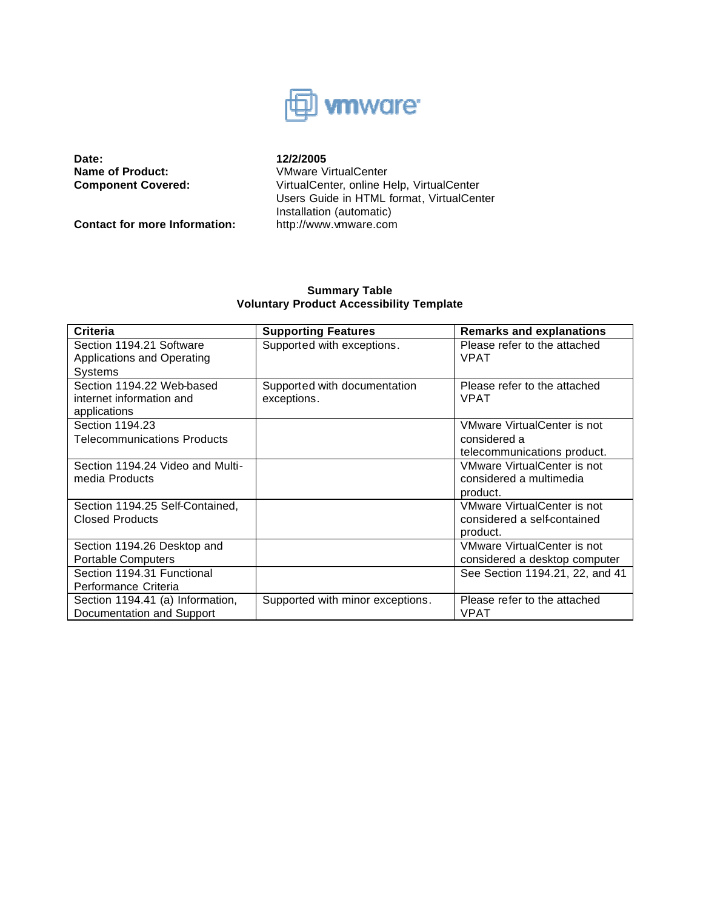

**Date: 12/2/2005**<br>**Name of Product: 12/2/2005**<br>VMware V **Name of Product:** VMware VirtualCenter<br> **Component Covered:** VirtualCenter, online H

**Contact for more Information:** 

VirtualCenter, online Help, VirtualCenter Users Guide in HTML format, VirtualCenter Installation (automatic)<br>http://www.vmware.com

## **Summary Table Voluntary Product Accessibility Template**

| <b>Criteria</b>                    | <b>Supporting Features</b>       | <b>Remarks and explanations</b> |
|------------------------------------|----------------------------------|---------------------------------|
| Section 1194.21 Software           | Supported with exceptions.       | Please refer to the attached    |
| Applications and Operating         |                                  | <b>VPAT</b>                     |
| Systems                            |                                  |                                 |
| Section 1194.22 Web-based          | Supported with documentation     | Please refer to the attached    |
| internet information and           | exceptions.                      | <b>VPAT</b>                     |
| applications                       |                                  |                                 |
| Section 1194.23                    |                                  | VMware VirtualCenter is not     |
| <b>Telecommunications Products</b> |                                  | considered a                    |
|                                    |                                  | telecommunications product.     |
| Section 1194.24 Video and Multi-   |                                  | VMware VirtualCenter is not     |
| media Products                     |                                  | considered a multimedia         |
|                                    |                                  | product.                        |
| Section 1194.25 Self-Contained,    |                                  | VMware VirtualCenter is not     |
| <b>Closed Products</b>             |                                  | considered a self-contained     |
|                                    |                                  | product.                        |
| Section 1194.26 Desktop and        |                                  | VMware VirtualCenter is not     |
| <b>Portable Computers</b>          |                                  | considered a desktop computer   |
| Section 1194.31 Functional         |                                  | See Section 1194.21, 22, and 41 |
| Performance Criteria               |                                  |                                 |
| Section 1194.41 (a) Information,   | Supported with minor exceptions. | Please refer to the attached    |
| Documentation and Support          |                                  | <b>VPAT</b>                     |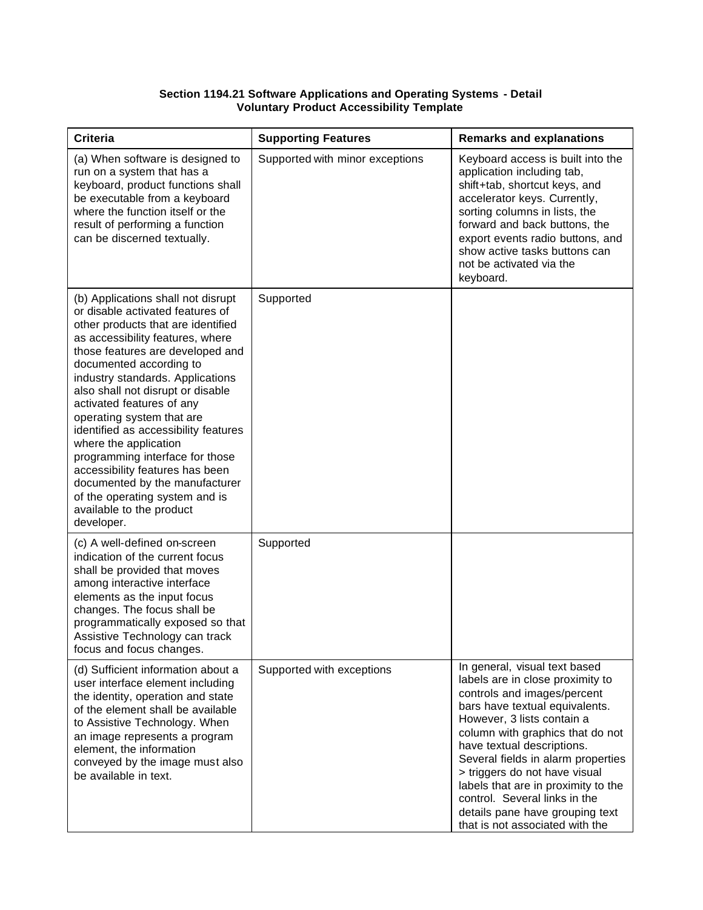#### **Section 1194.21 Software Applications and Operating Systems - Detail Voluntary Product Accessibility Template**

| <b>Criteria</b>                                                                                                                                                                                                                                                                                                                                                                                                                                                                                                                                                                                         | <b>Supporting Features</b>      | <b>Remarks and explanations</b>                                                                                                                                                                                                                                                                                                                                                                                                                         |
|---------------------------------------------------------------------------------------------------------------------------------------------------------------------------------------------------------------------------------------------------------------------------------------------------------------------------------------------------------------------------------------------------------------------------------------------------------------------------------------------------------------------------------------------------------------------------------------------------------|---------------------------------|---------------------------------------------------------------------------------------------------------------------------------------------------------------------------------------------------------------------------------------------------------------------------------------------------------------------------------------------------------------------------------------------------------------------------------------------------------|
| (a) When software is designed to<br>run on a system that has a<br>keyboard, product functions shall<br>be executable from a keyboard<br>where the function itself or the<br>result of performing a function<br>can be discerned textually.                                                                                                                                                                                                                                                                                                                                                              | Supported with minor exceptions | Keyboard access is built into the<br>application including tab,<br>shift+tab, shortcut keys, and<br>accelerator keys. Currently,<br>sorting columns in lists, the<br>forward and back buttons, the<br>export events radio buttons, and<br>show active tasks buttons can<br>not be activated via the<br>keyboard.                                                                                                                                        |
| (b) Applications shall not disrupt<br>or disable activated features of<br>other products that are identified<br>as accessibility features, where<br>those features are developed and<br>documented according to<br>industry standards. Applications<br>also shall not disrupt or disable<br>activated features of any<br>operating system that are<br>identified as accessibility features<br>where the application<br>programming interface for those<br>accessibility features has been<br>documented by the manufacturer<br>of the operating system and is<br>available to the product<br>developer. | Supported                       |                                                                                                                                                                                                                                                                                                                                                                                                                                                         |
| (c) A well-defined on-screen<br>indication of the current focus<br>shall be provided that moves<br>among interactive interface<br>elements as the input focus<br>changes. The focus shall be<br>programmatically exposed so that<br>Assistive Technology can track<br>focus and focus changes.                                                                                                                                                                                                                                                                                                          | Supported                       |                                                                                                                                                                                                                                                                                                                                                                                                                                                         |
| (d) Sufficient information about a<br>user interface element including<br>the identity, operation and state<br>of the element shall be available<br>to Assistive Technology. When<br>an image represents a program<br>element, the information<br>conveyed by the image must also<br>be available in text.                                                                                                                                                                                                                                                                                              | Supported with exceptions       | In general, visual text based<br>labels are in close proximity to<br>controls and images/percent<br>bars have textual equivalents.<br>However, 3 lists contain a<br>column with graphics that do not<br>have textual descriptions.<br>Several fields in alarm properties<br>> triggers do not have visual<br>labels that are in proximity to the<br>control. Several links in the<br>details pane have grouping text<br>that is not associated with the |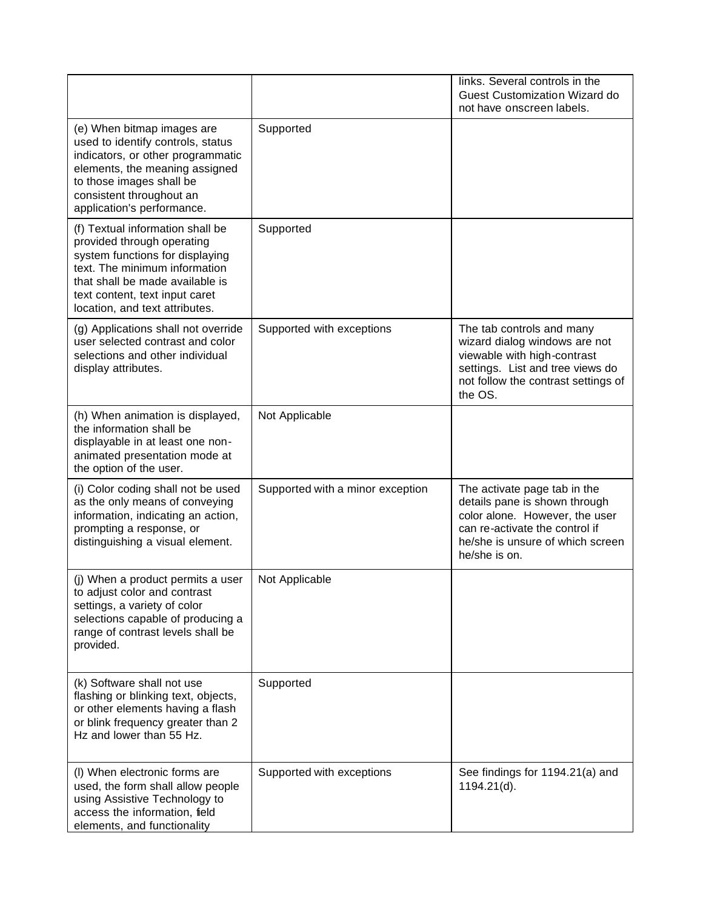|                                                                                                                                                                                                                                           |                                  | links. Several controls in the<br>Guest Customization Wizard do<br>not have onscreen labels.                                                                                           |
|-------------------------------------------------------------------------------------------------------------------------------------------------------------------------------------------------------------------------------------------|----------------------------------|----------------------------------------------------------------------------------------------------------------------------------------------------------------------------------------|
| (e) When bitmap images are<br>used to identify controls, status<br>indicators, or other programmatic<br>elements, the meaning assigned<br>to those images shall be<br>consistent throughout an<br>application's performance.              | Supported                        |                                                                                                                                                                                        |
| (f) Textual information shall be<br>provided through operating<br>system functions for displaying<br>text. The minimum information<br>that shall be made available is<br>text content, text input caret<br>location, and text attributes. | Supported                        |                                                                                                                                                                                        |
| (g) Applications shall not override<br>user selected contrast and color<br>selections and other individual<br>display attributes.                                                                                                         | Supported with exceptions        | The tab controls and many<br>wizard dialog windows are not<br>viewable with high-contrast<br>settings. List and tree views do<br>not follow the contrast settings of<br>the OS.        |
| (h) When animation is displayed,<br>the information shall be<br>displayable in at least one non-<br>animated presentation mode at<br>the option of the user.                                                                              | Not Applicable                   |                                                                                                                                                                                        |
| (i) Color coding shall not be used<br>as the only means of conveying<br>information, indicating an action,<br>prompting a response, or<br>distinguishing a visual element.                                                                | Supported with a minor exception | The activate page tab in the<br>details pane is shown through<br>color alone. However, the user<br>can re-activate the control if<br>he/she is unsure of which screen<br>he/she is on. |
| (j) When a product permits a user<br>to adjust color and contrast<br>settings, a variety of color<br>selections capable of producing a<br>range of contrast levels shall be<br>provided.                                                  | Not Applicable                   |                                                                                                                                                                                        |
| (k) Software shall not use<br>flashing or blinking text, objects,<br>or other elements having a flash<br>or blink frequency greater than 2<br>Hz and lower than 55 Hz.                                                                    | Supported                        |                                                                                                                                                                                        |
| (I) When electronic forms are<br>used, the form shall allow people<br>using Assistive Technology to<br>access the information, field<br>elements, and functionality                                                                       | Supported with exceptions        | See findings for 1194.21(a) and<br>1194.21(d).                                                                                                                                         |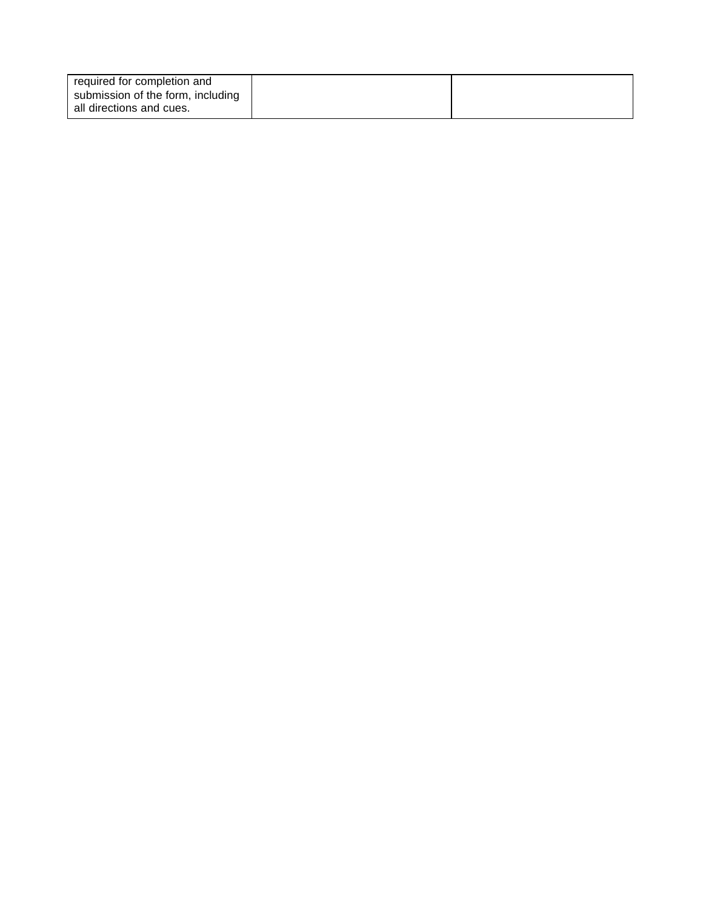| required for completion and       |  |
|-----------------------------------|--|
| submission of the form, including |  |
| all directions and cues.          |  |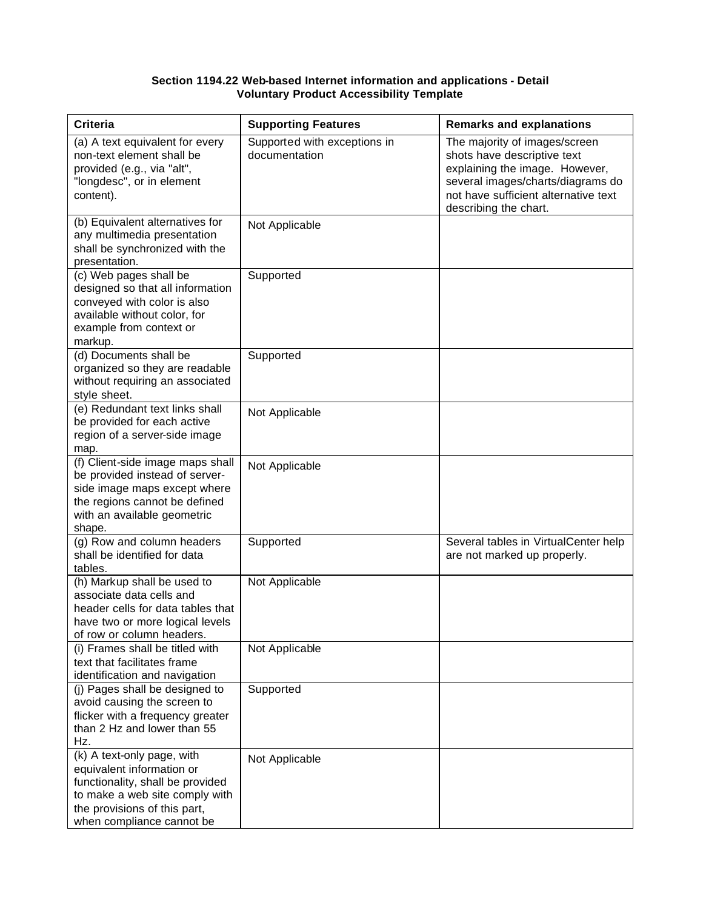### **Section 1194.22 Web-based Internet information and applications - Detail Voluntary Product Accessibility Template**

| <b>Criteria</b>                                                                                                                                                                            | <b>Supporting Features</b>                    | <b>Remarks and explanations</b>                                                                                                                                                                      |
|--------------------------------------------------------------------------------------------------------------------------------------------------------------------------------------------|-----------------------------------------------|------------------------------------------------------------------------------------------------------------------------------------------------------------------------------------------------------|
| (a) A text equivalent for every<br>non-text element shall be<br>provided (e.g., via "alt",<br>"longdesc", or in element<br>content).                                                       | Supported with exceptions in<br>documentation | The majority of images/screen<br>shots have descriptive text<br>explaining the image. However,<br>several images/charts/diagrams do<br>not have sufficient alternative text<br>describing the chart. |
| (b) Equivalent alternatives for<br>any multimedia presentation<br>shall be synchronized with the<br>presentation.                                                                          | Not Applicable                                |                                                                                                                                                                                                      |
| (c) Web pages shall be<br>designed so that all information<br>conveyed with color is also<br>available without color, for<br>example from context or<br>markup.                            | Supported                                     |                                                                                                                                                                                                      |
| (d) Documents shall be<br>organized so they are readable<br>without requiring an associated<br>style sheet.                                                                                | Supported                                     |                                                                                                                                                                                                      |
| (e) Redundant text links shall<br>be provided for each active<br>region of a server-side image<br>map.                                                                                     | Not Applicable                                |                                                                                                                                                                                                      |
| (f) Client-side image maps shall<br>be provided instead of server-<br>side image maps except where<br>the regions cannot be defined<br>with an available geometric<br>shape.               | Not Applicable                                |                                                                                                                                                                                                      |
| (g) Row and column headers<br>shall be identified for data<br>tables.                                                                                                                      | Supported                                     | Several tables in VirtualCenter help<br>are not marked up properly.                                                                                                                                  |
| (h) Markup shall be used to<br>associate data cells and<br>header cells for data tables that<br>have two or more logical levels<br>of row or column headers.                               | Not Applicable                                |                                                                                                                                                                                                      |
| (i) Frames shall be titled with<br>text that facilitates frame<br>identification and navigation                                                                                            | Not Applicable                                |                                                                                                                                                                                                      |
| (j) Pages shall be designed to<br>avoid causing the screen to<br>flicker with a frequency greater<br>than 2 Hz and lower than 55<br>Hz.                                                    | Supported                                     |                                                                                                                                                                                                      |
| (k) A text-only page, with<br>equivalent information or<br>functionality, shall be provided<br>to make a web site comply with<br>the provisions of this part,<br>when compliance cannot be | Not Applicable                                |                                                                                                                                                                                                      |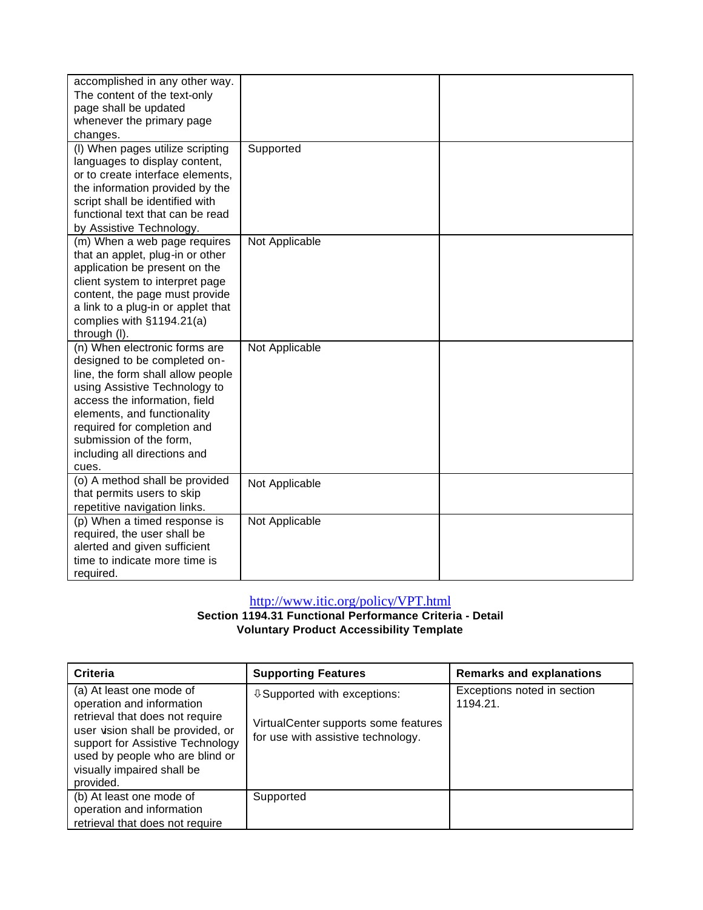| accomplished in any other way.     |                |  |
|------------------------------------|----------------|--|
| The content of the text-only       |                |  |
| page shall be updated              |                |  |
| whenever the primary page          |                |  |
| changes.                           |                |  |
| (I) When pages utilize scripting   | Supported      |  |
| languages to display content,      |                |  |
| or to create interface elements,   |                |  |
| the information provided by the    |                |  |
| script shall be identified with    |                |  |
| functional text that can be read   |                |  |
| by Assistive Technology.           |                |  |
| (m) When a web page requires       | Not Applicable |  |
| that an applet, plug-in or other   |                |  |
| application be present on the      |                |  |
| client system to interpret page    |                |  |
| content, the page must provide     |                |  |
| a link to a plug-in or applet that |                |  |
| complies with §1194.21(a)          |                |  |
| through (I).                       |                |  |
| (n) When electronic forms are      | Not Applicable |  |
| designed to be completed on-       |                |  |
| line, the form shall allow people  |                |  |
| using Assistive Technology to      |                |  |
| access the information, field      |                |  |
| elements, and functionality        |                |  |
| required for completion and        |                |  |
| submission of the form,            |                |  |
| including all directions and       |                |  |
| cues.                              |                |  |
| (o) A method shall be provided     | Not Applicable |  |
| that permits users to skip         |                |  |
| repetitive navigation links.       |                |  |
| (p) When a timed response is       | Not Applicable |  |
| required, the user shall be        |                |  |
| alerted and given sufficient       |                |  |
| time to indicate more time is      |                |  |
| required.                          |                |  |

# http://www.itic.org/policy/VPT.html

**Section 1194.31 Functional Performance Criteria - Detail Voluntary Product Accessibility Template**

| Criteria                                                                                                                                                                                                                                        | <b>Supporting Features</b>                                                                                        | <b>Remarks and explanations</b>         |
|-------------------------------------------------------------------------------------------------------------------------------------------------------------------------------------------------------------------------------------------------|-------------------------------------------------------------------------------------------------------------------|-----------------------------------------|
| (a) At least one mode of<br>operation and information<br>retrieval that does not require<br>user vision shall be provided, or<br>support for Assistive Technology<br>used by people who are blind or<br>visually impaired shall be<br>provided. | <b>↓ Supported with exceptions:</b><br>VirtualCenter supports some features<br>for use with assistive technology. | Exceptions noted in section<br>1194.21. |
| (b) At least one mode of<br>operation and information<br>retrieval that does not require                                                                                                                                                        | Supported                                                                                                         |                                         |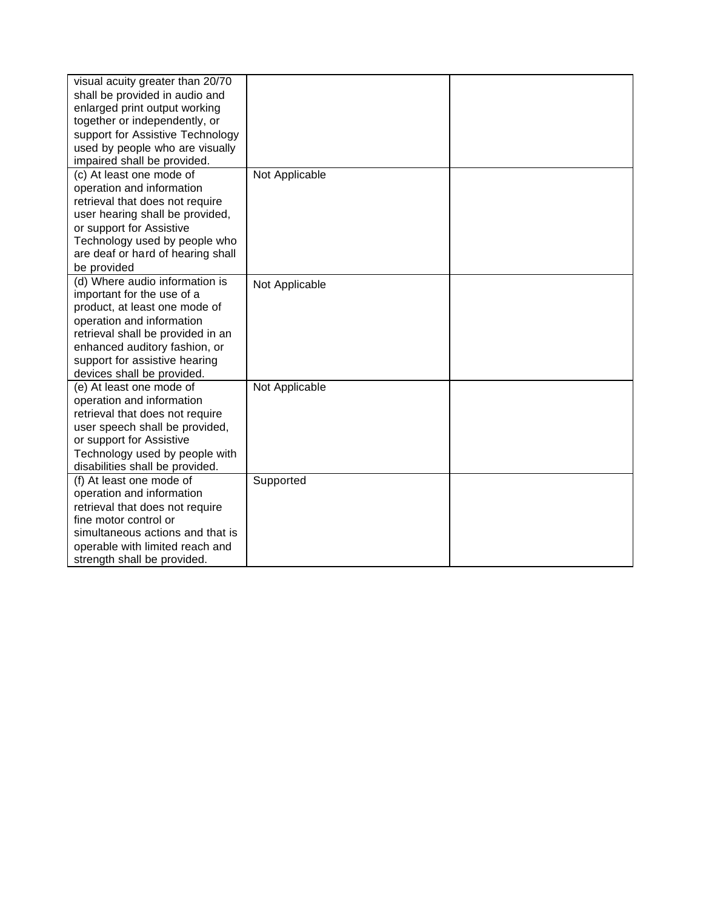| visual acuity greater than 20/70  |                |  |
|-----------------------------------|----------------|--|
| shall be provided in audio and    |                |  |
| enlarged print output working     |                |  |
| together or independently, or     |                |  |
| support for Assistive Technology  |                |  |
| used by people who are visually   |                |  |
| impaired shall be provided.       |                |  |
| (c) At least one mode of          | Not Applicable |  |
| operation and information         |                |  |
| retrieval that does not require   |                |  |
| user hearing shall be provided,   |                |  |
| or support for Assistive          |                |  |
| Technology used by people who     |                |  |
| are deaf or hard of hearing shall |                |  |
| be provided                       |                |  |
| (d) Where audio information is    | Not Applicable |  |
| important for the use of a        |                |  |
| product, at least one mode of     |                |  |
| operation and information         |                |  |
| retrieval shall be provided in an |                |  |
| enhanced auditory fashion, or     |                |  |
| support for assistive hearing     |                |  |
| devices shall be provided.        |                |  |
| (e) At least one mode of          | Not Applicable |  |
| operation and information         |                |  |
| retrieval that does not require   |                |  |
| user speech shall be provided,    |                |  |
| or support for Assistive          |                |  |
| Technology used by people with    |                |  |
| disabilities shall be provided.   |                |  |
| (f) At least one mode of          | Supported      |  |
| operation and information         |                |  |
| retrieval that does not require   |                |  |
| fine motor control or             |                |  |
| simultaneous actions and that is  |                |  |
| operable with limited reach and   |                |  |
| strength shall be provided.       |                |  |